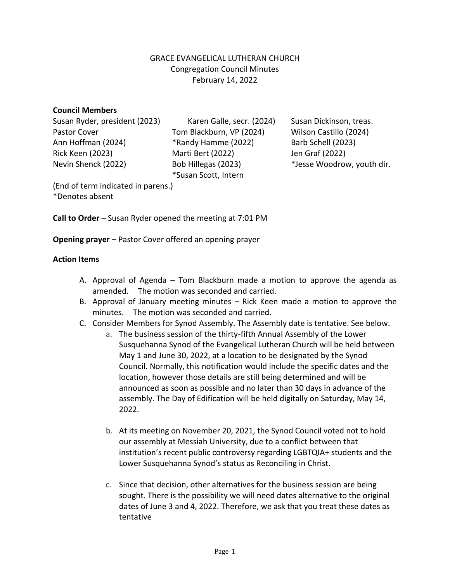## GRACE EVANGELICAL LUTHERAN CHURCH Congregation Council Minutes February 14, 2022

## **Council Members**

Susan Ryder, president (2023) Karen Galle, secr. (2024) Susan Dickinson, treas. Pastor Cover Tom Blackburn, VP (2024) Wilson Castillo (2024) Ann Hoffman (2024) \*Randy Hamme (2022) Barb Schell (2023) Rick Keen (2023) Marti Bert (2022) Jen Graf (2022) Nevin Shenck (2022) Bob Hillegas (2023) \*Jesse Woodrow, youth dir.

\*Susan Scott, Intern

(End of term indicated in parens.) \*Denotes absent

**Call to Order** – Susan Ryder opened the meeting at 7:01 PM

**Opening prayer** – Pastor Cover offered an opening prayer

## **Action Items**

- A. Approval of Agenda Tom Blackburn made a motion to approve the agenda as amended. The motion was seconded and carried.
- B. Approval of January meeting minutes Rick Keen made a motion to approve the minutes. The motion was seconded and carried.
- C. Consider Members for Synod Assembly. The Assembly date is tentative. See below.
	- a. The business session of the thirty-fifth Annual Assembly of the Lower Susquehanna Synod of the Evangelical Lutheran Church will be held between May 1 and June 30, 2022, at a location to be designated by the Synod Council. Normally, this notification would include the specific dates and the location, however those details are still being determined and will be announced as soon as possible and no later than 30 days in advance of the assembly. The Day of Edification will be held digitally on Saturday, May 14, 2022.
	- b. At its meeting on November 20, 2021, the Synod Council voted not to hold our assembly at Messiah University, due to a conflict between that institution's recent public controversy regarding LGBTQIA+ students and the Lower Susquehanna Synod's status as Reconciling in Christ.
	- c. Since that decision, other alternatives for the business session are being sought. There is the possibility we will need dates alternative to the original dates of June 3 and 4, 2022. Therefore, we ask that you treat these dates as tentative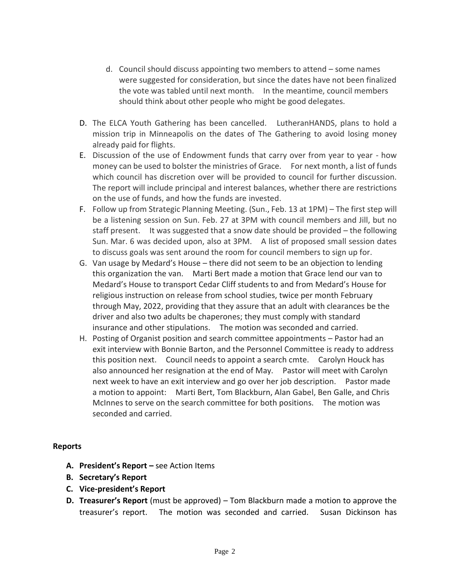- d. Council should discuss appointing two members to attend some names were suggested for consideration, but since the dates have not been finalized the vote was tabled until next month. In the meantime, council members should think about other people who might be good delegates.
- D. The ELCA Youth Gathering has been cancelled. LutheranHANDS, plans to hold a mission trip in Minneapolis on the dates of The Gathering to avoid losing money already paid for flights.
- E. Discussion of the use of Endowment funds that carry over from year to year how money can be used to bolster the ministries of Grace. For next month, a list of funds which council has discretion over will be provided to council for further discussion. The report will include principal and interest balances, whether there are restrictions on the use of funds, and how the funds are invested.
- F. Follow up from Strategic Planning Meeting. (Sun., Feb. 13 at 1PM) The first step will be a listening session on Sun. Feb. 27 at 3PM with council members and Jill, but no staff present. It was suggested that a snow date should be provided – the following Sun. Mar. 6 was decided upon, also at 3PM. A list of proposed small session dates to discuss goals was sent around the room for council members to sign up for.
- G. Van usage by Medard's House there did not seem to be an objection to lending this organization the van. Marti Bert made a motion that Grace lend our van to Medard's House to transport Cedar Cliff students to and from Medard's House for religious instruction on release from school studies, twice per month February through May, 2022, providing that they assure that an adult with clearances be the driver and also two adults be chaperones; they must comply with standard insurance and other stipulations. The motion was seconded and carried.
- H. Posting of Organist position and search committee appointments Pastor had an exit interview with Bonnie Barton, and the Personnel Committee is ready to address this position next. Council needs to appoint a search cmte. Carolyn Houck has also announced her resignation at the end of May. Pastor will meet with Carolyn next week to have an exit interview and go over her job description. Pastor made a motion to appoint: Marti Bert, Tom Blackburn, Alan Gabel, Ben Galle, and Chris McInnes to serve on the search committee for both positions. The motion was seconded and carried.

## **Reports**

- **A. President's Report –** see Action Items
- **B. Secretary's Report**
- **C. Vice-president's Report**
- **D. Treasurer's Report** (must be approved) Tom Blackburn made a motion to approve the treasurer's report. The motion was seconded and carried. Susan Dickinson has